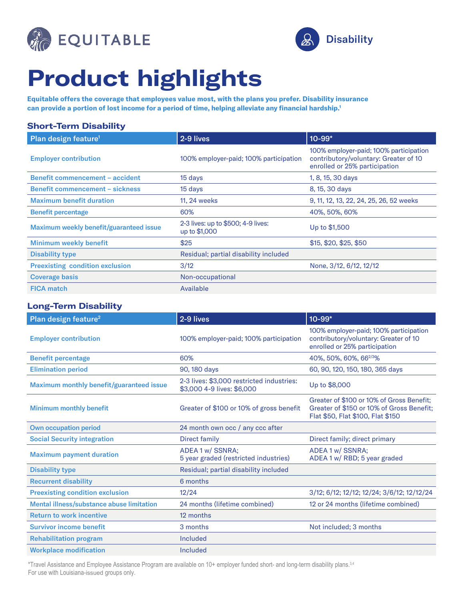



## **Product highlights**

**Equitable offers the coverage that employees value most, with the plans you prefer. Disability insurance can provide a portion of lost income for a period of time, helping alleviate any financial hardship.1**

| <b>Short-Term Disability</b>            |                                                     |                                                                                                                  |  |
|-----------------------------------------|-----------------------------------------------------|------------------------------------------------------------------------------------------------------------------|--|
| Plan design feature <sup>1</sup>        | 2-9 lives                                           | 10-99*                                                                                                           |  |
| <b>Employer contribution</b>            | 100% employer-paid; 100% participation              | 100% employer-paid; 100% participation<br>contributory/voluntary: Greater of 10<br>enrolled or 25% participation |  |
| <b>Benefit commencement - accident</b>  | 15 days                                             | 1, 8, 15, 30 days                                                                                                |  |
| <b>Benefit commencement - sickness</b>  | 15 days                                             | 8, 15, 30 days                                                                                                   |  |
| <b>Maximum benefit duration</b>         | 11, 24 weeks                                        | 9, 11, 12, 13, 22, 24, 25, 26, 52 weeks                                                                          |  |
| <b>Benefit percentage</b>               | 60%                                                 | 40%, 50%, 60%                                                                                                    |  |
| Maximum weekly benefit/guaranteed issue | 2-3 lives: up to \$500; 4-9 lives:<br>up to \$1,000 | Up to \$1,500                                                                                                    |  |
| <b>Minimum weekly benefit</b>           | \$25                                                | \$15, \$20, \$25, \$50                                                                                           |  |
| <b>Disability type</b>                  | Residual; partial disability included               |                                                                                                                  |  |
| <b>Preexisting condition exclusion</b>  | 3/12                                                | None, 3/12, 6/12, 12/12                                                                                          |  |
| <b>Coverage basis</b>                   | Non-occupational                                    |                                                                                                                  |  |
| <b>FICA match</b>                       | Available                                           |                                                                                                                  |  |

## **Long-Term Disability**

| Plan design feature <sup>2</sup>          | 2-9 lives                                                               | 10-99*                                                                                                                      |
|-------------------------------------------|-------------------------------------------------------------------------|-----------------------------------------------------------------------------------------------------------------------------|
| <b>Employer contribution</b>              | 100% employer-paid; 100% participation                                  | 100% employer-paid; 100% participation<br>contributory/voluntary: Greater of 10<br>enrolled or 25% participation            |
| <b>Benefit percentage</b>                 | 60%                                                                     | 40%, 50%, 60%, 662/3%                                                                                                       |
| <b>Elimination period</b>                 | 90, 180 days                                                            | 60, 90, 120, 150, 180, 365 days                                                                                             |
| Maximum monthly benefit/guaranteed issue  | 2-3 lives: \$3,000 restricted industries:<br>\$3,000 4-9 lives: \$6,000 | Up to \$8,000                                                                                                               |
| <b>Minimum monthly benefit</b>            | Greater of \$100 or 10% of gross benefit                                | Greater of \$100 or 10% of Gross Benefit:<br>Greater of \$150 or 10% of Gross Benefit:<br>Flat \$50, Flat \$100, Flat \$150 |
| <b>Own occupation period</b>              | 24 month own occ / any ccc after                                        |                                                                                                                             |
| <b>Social Security integration</b>        | <b>Direct family</b>                                                    | Direct family; direct primary                                                                                               |
| <b>Maximum payment duration</b>           | ADEA 1 w/ SSNRA;<br>5 year graded (restricted industries)               | ADEA 1 w/ SSNRA:<br>ADEA 1 w/ RBD; 5 year graded                                                                            |
| <b>Disability type</b>                    | Residual; partial disability included                                   |                                                                                                                             |
| <b>Recurrent disability</b>               | 6 months                                                                |                                                                                                                             |
| <b>Preexisting condition exclusion</b>    | 12/24                                                                   | 3/12; 6/12; 12/12; 12/24; 3/6/12; 12/12/24                                                                                  |
| Mental illness/substance abuse limitation | 24 months (lifetime combined)                                           | 12 or 24 months (lifetime combined)                                                                                         |
| <b>Return to work incentive</b>           | 12 months                                                               |                                                                                                                             |
| <b>Survivor income benefit</b>            | 3 months                                                                | Not included; 3 months                                                                                                      |
| <b>Rehabilitation program</b>             | Included                                                                |                                                                                                                             |
| <b>Workplace modification</b>             | <b>Included</b>                                                         |                                                                                                                             |

\*Travel Assistance and Employee Assistance Program are available on 10+ employer funded short- and long-term disability plans.3,4 For use with Louisiana-issued groups only.